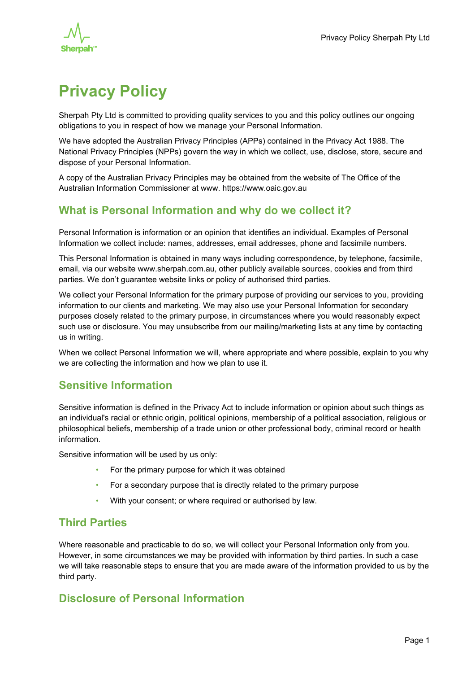

# **Privacy Policy**

Sherpah Pty Ltd is committed to providing quality services to you and this policy outlines our ongoing obligations to you in respect of how we manage your Personal Information.

We have adopted the Australian Privacy Principles (APPs) contained in the Privacy Act 1988. The National Privacy Principles (NPPs) govern the way in which we collect, use, disclose, store, secure and dispose of your Personal Information.

A copy of the Australian Privacy Principles may be obtained from the website of The Office of the Australian Information Commissioner at www. https://www.oaic.gov.au

# **What is Personal Information and why do we collect it?**

Personal Information is information or an opinion that identifies an individual. Examples of Personal Information we collect include: names, addresses, email addresses, phone and facsimile numbers.

This Personal Information is obtained in many ways including correspondence, by telephone, facsimile, email, via our website www.sherpah.com.au, other publicly available sources, cookies and from third parties. We don't guarantee website links or policy of authorised third parties.

We collect your Personal Information for the primary purpose of providing our services to you, providing information to our clients and marketing. We may also use your Personal Information for secondary purposes closely related to the primary purpose, in circumstances where you would reasonably expect such use or disclosure. You may unsubscribe from our mailing/marketing lists at any time by contacting us in writing.

When we collect Personal Information we will, where appropriate and where possible, explain to you why we are collecting the information and how we plan to use it.

# **Sensitive Information**

Sensitive information is defined in the Privacy Act to include information or opinion about such things as an individual's racial or ethnic origin, political opinions, membership of a political association, religious or philosophical beliefs, membership of a trade union or other professional body, criminal record or health information.

Sensitive information will be used by us only:

- For the primary purpose for which it was obtained
- For a secondary purpose that is directly related to the primary purpose
- With your consent; or where required or authorised by law.

#### **Third Parties**

Where reasonable and practicable to do so, we will collect your Personal Information only from you. However, in some circumstances we may be provided with information by third parties. In such a case we will take reasonable steps to ensure that you are made aware of the information provided to us by the third party.

# **Disclosure of Personal Information**